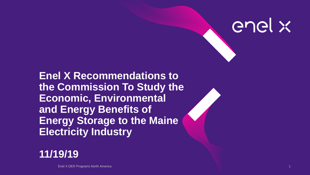

# **Enel X Recommendations to the Commission To Study the Economic, Environmental and Energy Benefits of Energy Storage to the Maine Electricity Industry**



Enel X DER Programs North America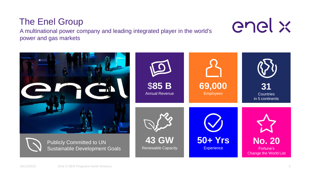#### 18/11/2019 Enel X DER Programs North America 2



Publicly Committed to UN

Sustainable Development Goals

**31**

**69,000**

Employees

**50+ Yrs**

**Experience** 

**43 GW**

\$**85 B**

Annual Revenue

Renewable Capacity

**Countries** in 5 continents

A multinational power company and leading integrated player in the world's power and gas markets

# The Enel Group





**No. 20**

Fortune's Change the World List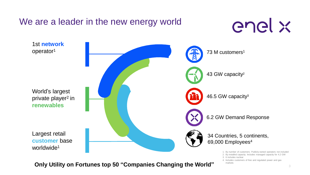

**Only Utility on Fortunes top 50 "Companies Changing the World" markets**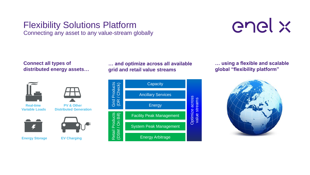## Flexibility Solutions Platform

Connecting any asset to any value-stream globally



**Connect all types of distributed energy assets…**



**PV & Other** 

**Real-time Variable Loads**







**Energy Storage EV Charging**

**… and optimize across all available grid and retail value streams**



**… using a flexible and scalable global "flexibility platform"**

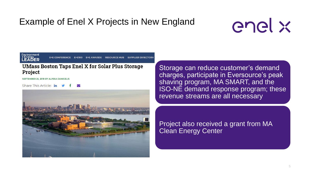## Example of Enel X Projects in New England



Environment<br>+ Energy<br>**LEADER** 

#### **UMass Boston Taps Enel X for Solar Plus Storage Project**

SEPTEMBER 25, 2019 BY ALYSSA DANIGELIS

Share This Article: in



Storage can reduce customer's demand charges, participate in Eversource's peak shaving program, MA SMART, and the ISO-NE demand response program; these revenue streams are all necessary

Project also received a grant from MA Clean Energy Center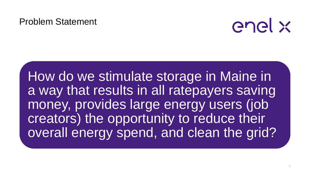#### Problem Statement



How do we stimulate storage in Maine in a way that results in all ratepayers saving money, provides large energy users (job creators) the opportunity to reduce their overall energy spend, and clean the grid?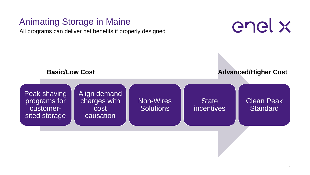## Animating Storage in Maine

All programs can deliver net benefits if properly designed



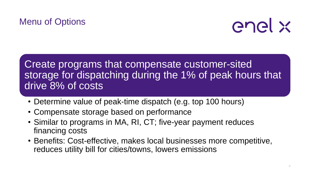# Menu of Options



Create programs that compensate customer-sited storage for dispatching during the 1% of peak hours that drive 8% of costs

- Determine value of peak-time dispatch (e.g. top 100 hours)
- Compensate storage based on performance
- Similar to programs in MA, RI, CT; five-year payment reduces financing costs
- Benefits: Cost-effective, makes local businesses more competitive, reduces utility bill for cities/towns, lowers emissions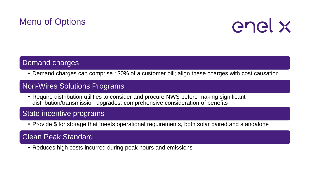# Menu of Options



#### Demand charges

• Demand charges can comprise ~30% of a customer bill; align these charges with cost causation

#### Non-Wires Solutions Programs

• Require distribution utilities to consider and procure NWS before making significant distribution/transmission upgrades; comprehensive consideration of benefits

#### State incentive programs

• Provide \$ for storage that meets operational requirements, both solar paired and standalone

#### Clean Peak Standard

• Reduces high costs incurred during peak hours and emissions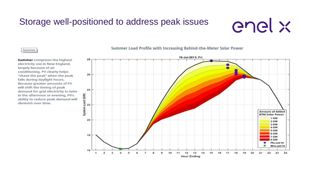## Storage well-positioned to address peak issues

# enel x

#### Summer

**Summer** comprises the highest electricity use in New England, largely because of air conditioning. PV clearly helps "shave the peak" when the peak falls during daylight hours. Because greater amounts of PV will shift the timing of peak demand for grid electricity to later in the afternoon or evening, PV's ability to reduce peak demand will diminish over time.

Summer Load Profile with Increasing Behind-the-Meter Solar Power